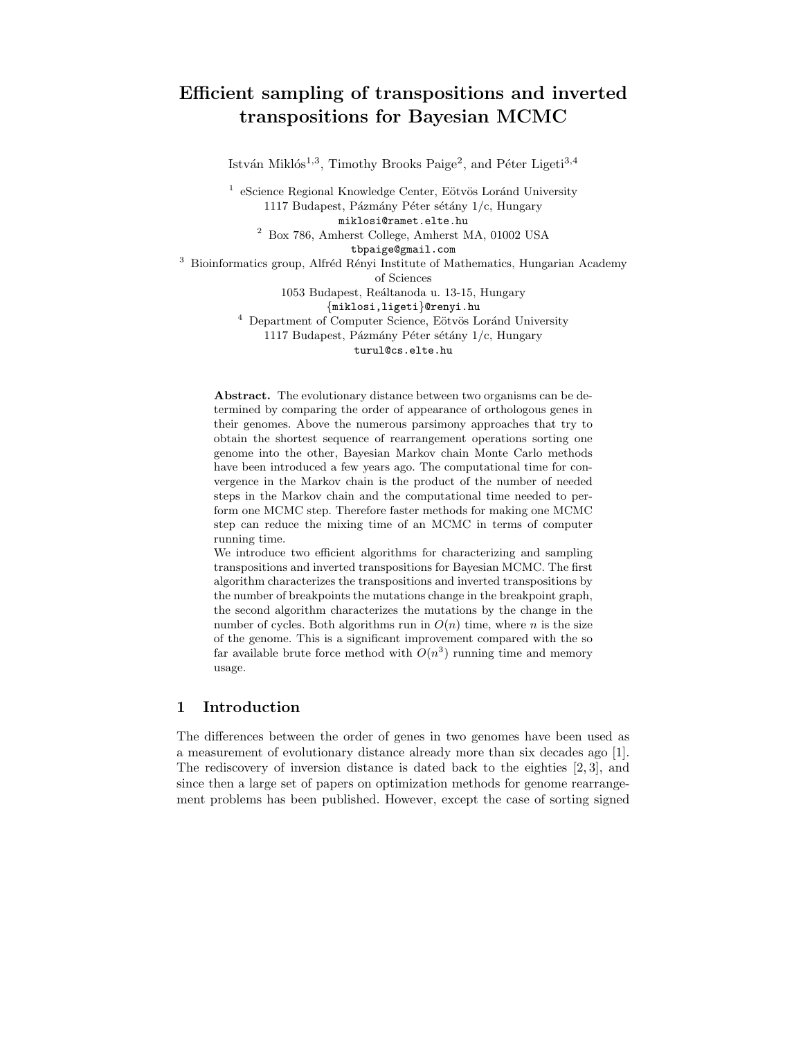# Efficient sampling of transpositions and inverted transpositions for Bayesian MCMC

István Miklós<sup>1,3</sup>, Timothy Brooks Paige<sup>2</sup>, and Péter Ligeti<sup>3,4</sup>

 $1$ e<br/>Science Regional Knowledge Center, Eötvös Loránd University 1117 Budapest, Pázmány Péter sétány  $1/c$ , Hungary miklosi@ramet.elte.hu

<sup>2</sup> Box 786, Amherst College, Amherst MA, 01002 USA

tbpaige@gmail.com

 $3$  Bioinformatics group, Alfréd Rényi Institute of Mathematics, Hungarian Academy

of Sciences

1053 Budapest, Reáltanoda u. 13-15, Hungary

{miklosi,ligeti}@renyi.hu

 $4$  Department of Computer Science, Eötvös Loránd University 1117 Budapest, Pázmány Péter sétány  $1/c$ , Hungary

turul@cs.elte.hu

Abstract. The evolutionary distance between two organisms can be determined by comparing the order of appearance of orthologous genes in their genomes. Above the numerous parsimony approaches that try to obtain the shortest sequence of rearrangement operations sorting one genome into the other, Bayesian Markov chain Monte Carlo methods have been introduced a few years ago. The computational time for convergence in the Markov chain is the product of the number of needed steps in the Markov chain and the computational time needed to perform one MCMC step. Therefore faster methods for making one MCMC step can reduce the mixing time of an MCMC in terms of computer running time.

We introduce two efficient algorithms for characterizing and sampling transpositions and inverted transpositions for Bayesian MCMC. The first algorithm characterizes the transpositions and inverted transpositions by the number of breakpoints the mutations change in the breakpoint graph, the second algorithm characterizes the mutations by the change in the number of cycles. Both algorithms run in  $O(n)$  time, where n is the size of the genome. This is a significant improvement compared with the so far available brute force method with  $O(n^3)$  running time and memory usage.

# 1 Introduction

The differences between the order of genes in two genomes have been used as a measurement of evolutionary distance already more than six decades ago [1]. The rediscovery of inversion distance is dated back to the eighties [2, 3], and since then a large set of papers on optimization methods for genome rearrangement problems has been published. However, except the case of sorting signed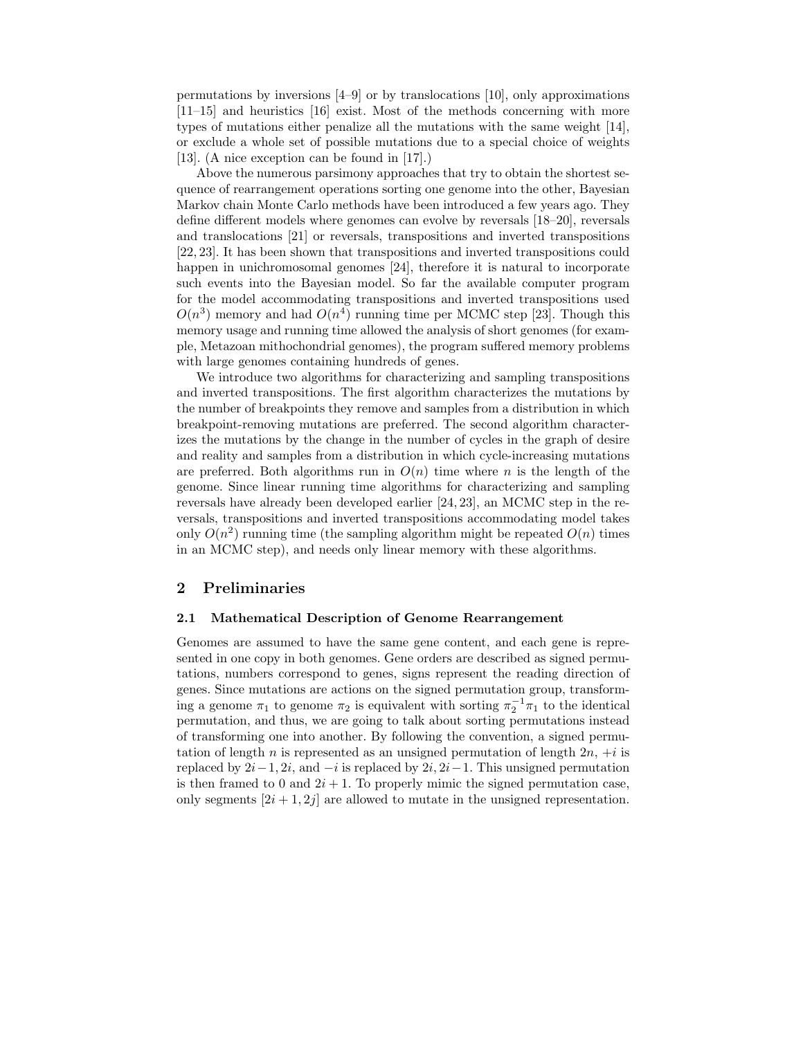permutations by inversions [4–9] or by translocations [10], only approximations [11–15] and heuristics [16] exist. Most of the methods concerning with more types of mutations either penalize all the mutations with the same weight [14], or exclude a whole set of possible mutations due to a special choice of weights [13]. (A nice exception can be found in [17].)

Above the numerous parsimony approaches that try to obtain the shortest sequence of rearrangement operations sorting one genome into the other, Bayesian Markov chain Monte Carlo methods have been introduced a few years ago. They define different models where genomes can evolve by reversals [18–20], reversals and translocations [21] or reversals, transpositions and inverted transpositions [22, 23]. It has been shown that transpositions and inverted transpositions could happen in unichromosomal genomes [24], therefore it is natural to incorporate such events into the Bayesian model. So far the available computer program for the model accommodating transpositions and inverted transpositions used  $O(n^3)$  memory and had  $O(n^4)$  running time per MCMC step [23]. Though this memory usage and running time allowed the analysis of short genomes (for example, Metazoan mithochondrial genomes), the program suffered memory problems with large genomes containing hundreds of genes.

We introduce two algorithms for characterizing and sampling transpositions and inverted transpositions. The first algorithm characterizes the mutations by the number of breakpoints they remove and samples from a distribution in which breakpoint-removing mutations are preferred. The second algorithm characterizes the mutations by the change in the number of cycles in the graph of desire and reality and samples from a distribution in which cycle-increasing mutations are preferred. Both algorithms run in  $O(n)$  time where n is the length of the genome. Since linear running time algorithms for characterizing and sampling reversals have already been developed earlier [24, 23], an MCMC step in the reversals, transpositions and inverted transpositions accommodating model takes only  $O(n^2)$  running time (the sampling algorithm might be repeated  $O(n)$  times in an MCMC step), and needs only linear memory with these algorithms.

#### 2 Preliminaries

#### 2.1 Mathematical Description of Genome Rearrangement

Genomes are assumed to have the same gene content, and each gene is represented in one copy in both genomes. Gene orders are described as signed permutations, numbers correspond to genes, signs represent the reading direction of genes. Since mutations are actions on the signed permutation group, transforming a genome  $\pi_1$  to genome  $\pi_2$  is equivalent with sorting  $\pi_2^{-1}\pi_1$  to the identical permutation, and thus, we are going to talk about sorting permutations instead of transforming one into another. By following the convention, a signed permutation of length n is represented as an unsigned permutation of length  $2n, +i$  is replaced by  $2i-1, 2i$ , and  $-i$  is replaced by  $2i, 2i-1$ . This unsigned permutation is then framed to 0 and  $2i + 1$ . To properly mimic the signed permutation case, only segments  $[2i + 1, 2j]$  are allowed to mutate in the unsigned representation.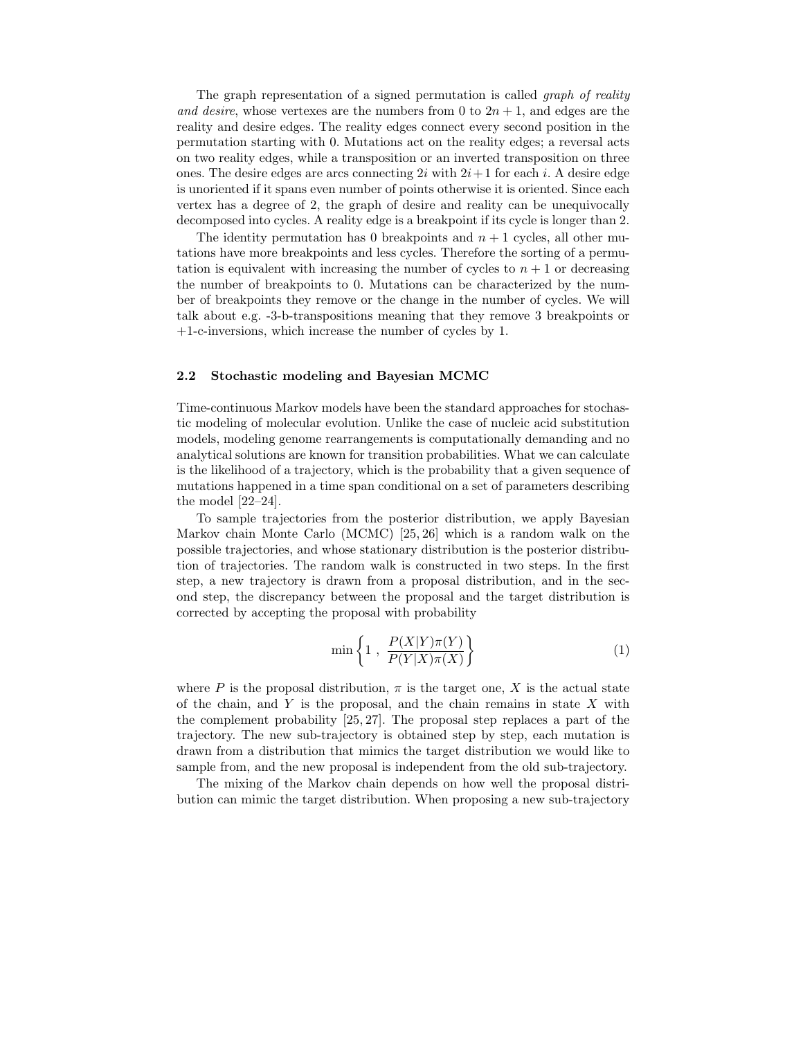The graph representation of a signed permutation is called *graph of reality* and desire, whose vertexes are the numbers from 0 to  $2n + 1$ , and edges are the reality and desire edges. The reality edges connect every second position in the permutation starting with 0. Mutations act on the reality edges; a reversal acts on two reality edges, while a transposition or an inverted transposition on three ones. The desire edges are arcs connecting  $2i$  with  $2i+1$  for each i. A desire edge is unoriented if it spans even number of points otherwise it is oriented. Since each vertex has a degree of 2, the graph of desire and reality can be unequivocally decomposed into cycles. A reality edge is a breakpoint if its cycle is longer than 2.

The identity permutation has 0 breakpoints and  $n + 1$  cycles, all other mutations have more breakpoints and less cycles. Therefore the sorting of a permutation is equivalent with increasing the number of cycles to  $n + 1$  or decreasing the number of breakpoints to 0. Mutations can be characterized by the number of breakpoints they remove or the change in the number of cycles. We will talk about e.g. -3-b-transpositions meaning that they remove 3 breakpoints or +1-c-inversions, which increase the number of cycles by 1.

#### 2.2 Stochastic modeling and Bayesian MCMC

Time-continuous Markov models have been the standard approaches for stochastic modeling of molecular evolution. Unlike the case of nucleic acid substitution models, modeling genome rearrangements is computationally demanding and no analytical solutions are known for transition probabilities. What we can calculate is the likelihood of a trajectory, which is the probability that a given sequence of mutations happened in a time span conditional on a set of parameters describing the model [22–24].

To sample trajectories from the posterior distribution, we apply Bayesian Markov chain Monte Carlo (MCMC) [25, 26] which is a random walk on the possible trajectories, and whose stationary distribution is the posterior distribution of trajectories. The random walk is constructed in two steps. In the first step, a new trajectory is drawn from a proposal distribution, and in the second step, the discrepancy between the proposal and the target distribution is corrected by accepting the proposal with probability

$$
\min\left\{1\;,\;\frac{P(X|Y)\pi(Y)}{P(Y|X)\pi(X)}\right\}\tag{1}
$$

where P is the proposal distribution,  $\pi$  is the target one, X is the actual state of the chain, and Y is the proposal, and the chain remains in state  $X$  with the complement probability [25, 27]. The proposal step replaces a part of the trajectory. The new sub-trajectory is obtained step by step, each mutation is drawn from a distribution that mimics the target distribution we would like to sample from, and the new proposal is independent from the old sub-trajectory.

The mixing of the Markov chain depends on how well the proposal distribution can mimic the target distribution. When proposing a new sub-trajectory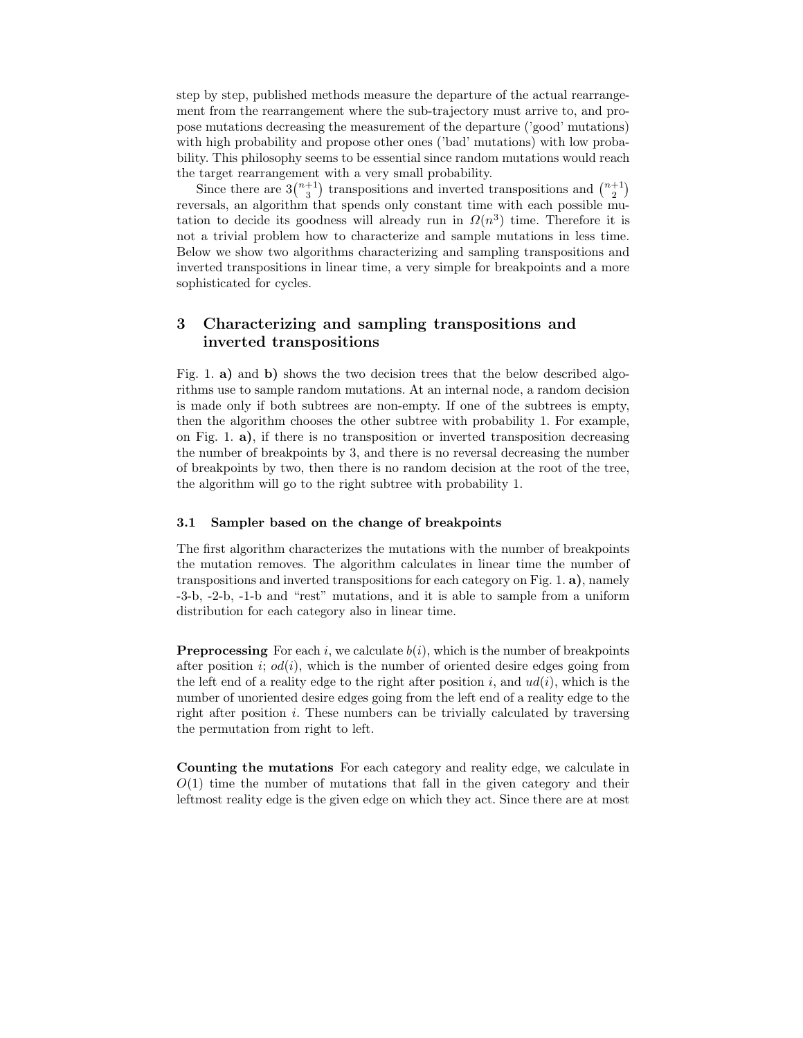step by step, published methods measure the departure of the actual rearrangement from the rearrangement where the sub-trajectory must arrive to, and propose mutations decreasing the measurement of the departure ('good' mutations) with high probability and propose other ones ('bad' mutations) with low probability. This philosophy seems to be essential since random mutations would reach the target rearrangement with a very small probability.

Since there are  $3\binom{n+1}{3}$  transpositions and inverted transpositions and  $\binom{n+1}{2}$ reversals, an algorithm that spends only constant time with each possible mutation to decide its goodness will already run in  $\Omega(n^3)$  time. Therefore it is not a trivial problem how to characterize and sample mutations in less time. Below we show two algorithms characterizing and sampling transpositions and inverted transpositions in linear time, a very simple for breakpoints and a more sophisticated for cycles.

# 3 Characterizing and sampling transpositions and inverted transpositions

Fig. 1. a) and b) shows the two decision trees that the below described algorithms use to sample random mutations. At an internal node, a random decision is made only if both subtrees are non-empty. If one of the subtrees is empty, then the algorithm chooses the other subtree with probability 1. For example, on Fig. 1.  $\mathbf{a}$ ), if there is no transposition or inverted transposition decreasing the number of breakpoints by 3, and there is no reversal decreasing the number of breakpoints by two, then there is no random decision at the root of the tree, the algorithm will go to the right subtree with probability 1.

#### 3.1 Sampler based on the change of breakpoints

The first algorithm characterizes the mutations with the number of breakpoints the mutation removes. The algorithm calculates in linear time the number of transpositions and inverted transpositions for each category on Fig. 1. a), namely -3-b, -2-b, -1-b and "rest" mutations, and it is able to sample from a uniform distribution for each category also in linear time.

**Preprocessing** For each i, we calculate  $b(i)$ , which is the number of breakpoints after position i;  $od(i)$ , which is the number of oriented desire edges going from the left end of a reality edge to the right after position i, and  $ud(i)$ , which is the number of unoriented desire edges going from the left end of a reality edge to the right after position i. These numbers can be trivially calculated by traversing the permutation from right to left.

Counting the mutations For each category and reality edge, we calculate in  $O(1)$  time the number of mutations that fall in the given category and their leftmost reality edge is the given edge on which they act. Since there are at most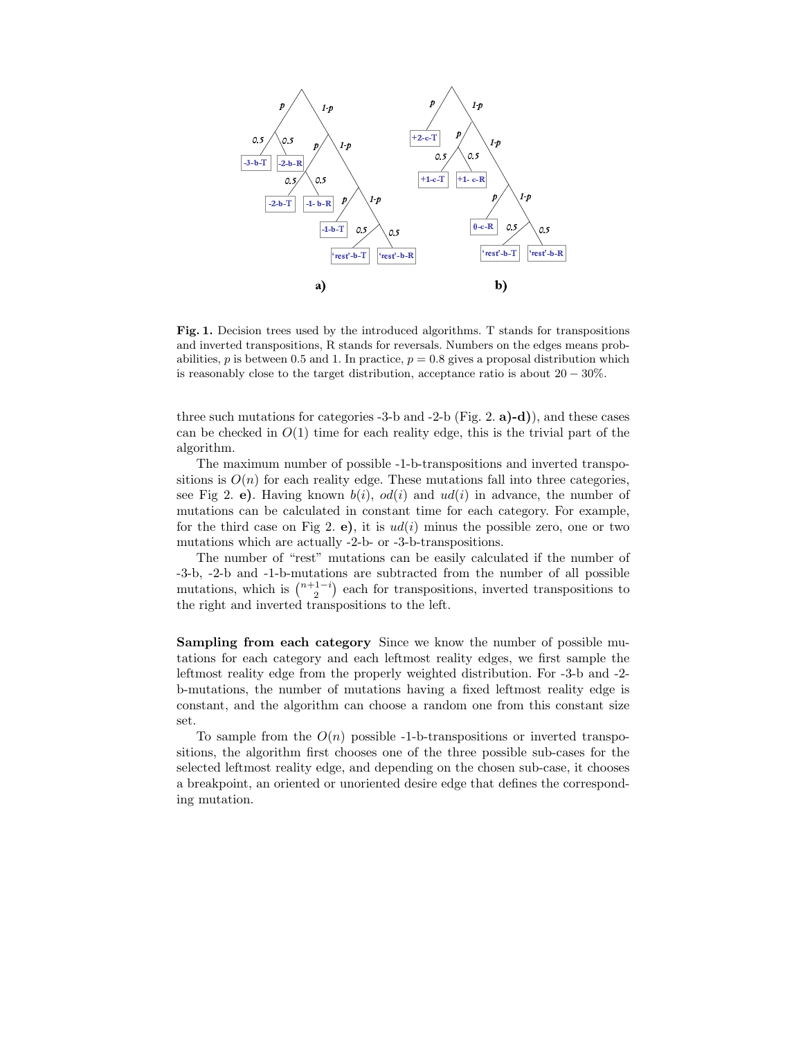

Fig. 1. Decision trees used by the introduced algorithms. T stands for transpositions and inverted transpositions, R stands for reversals. Numbers on the edges means probabilities, p is between 0.5 and 1. In practice,  $p = 0.8$  gives a proposal distribution which is reasonably close to the target distribution, acceptance ratio is about 20 − 30%.

three such mutations for categories  $-3$ -b and  $-2$ -b (Fig. 2. a)-d), and these cases can be checked in  $O(1)$  time for each reality edge, this is the trivial part of the algorithm.

The maximum number of possible -1-b-transpositions and inverted transpositions is  $O(n)$  for each reality edge. These mutations fall into three categories, see Fig 2. e). Having known  $b(i)$ ,  $od(i)$  and  $ud(i)$  in advance, the number of mutations can be calculated in constant time for each category. For example, for the third case on Fig 2. e), it is  $ud(i)$  minus the possible zero, one or two mutations which are actually -2-b- or -3-b-transpositions.

The number of "rest" mutations can be easily calculated if the number of -3-b, -2-b and -1-b-mutations are subtracted from the number of all possible mutations, which is  $\binom{n+1-i}{2}$  each for transpositions, inverted transpositions to the right and inverted transpositions to the left.

Sampling from each category Since we know the number of possible mutations for each category and each leftmost reality edges, we first sample the leftmost reality edge from the properly weighted distribution. For -3-b and -2 b-mutations, the number of mutations having a fixed leftmost reality edge is constant, and the algorithm can choose a random one from this constant size set.

To sample from the  $O(n)$  possible -1-b-transpositions or inverted transpositions, the algorithm first chooses one of the three possible sub-cases for the selected leftmost reality edge, and depending on the chosen sub-case, it chooses a breakpoint, an oriented or unoriented desire edge that defines the corresponding mutation.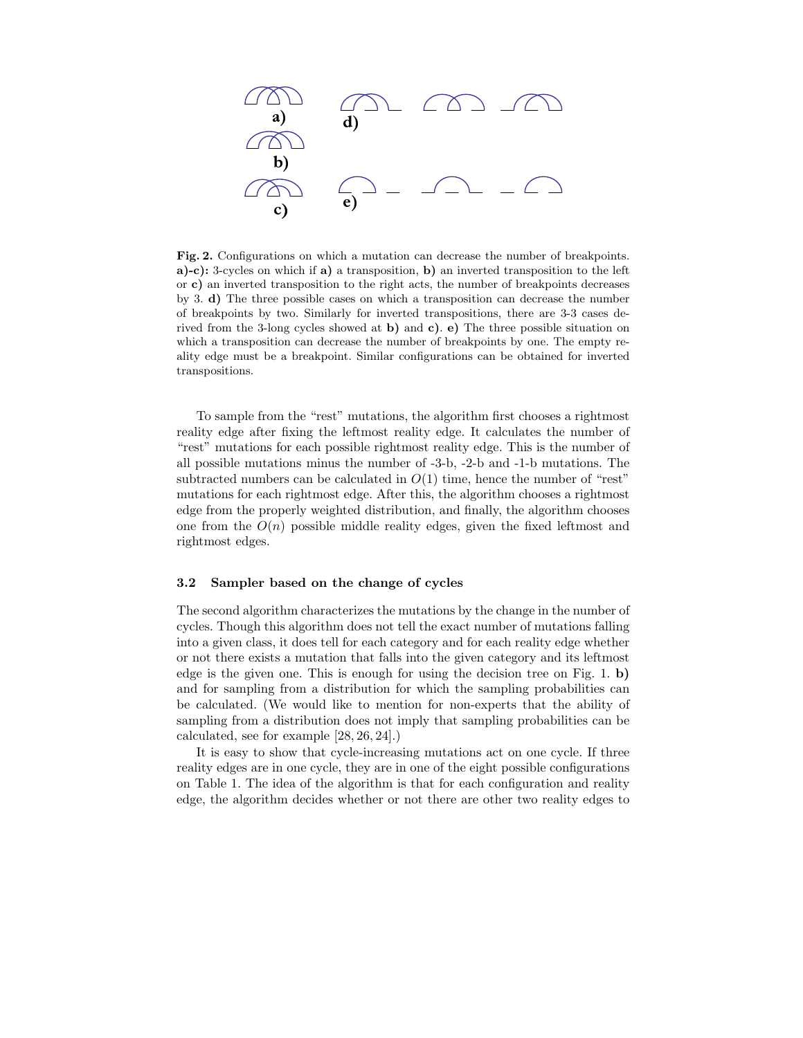

Fig. 2. Configurations on which a mutation can decrease the number of breakpoints. a)-c): 3-cycles on which if a) a transposition, b) an inverted transposition to the left or c) an inverted transposition to the right acts, the number of breakpoints decreases by 3. d) The three possible cases on which a transposition can decrease the number of breakpoints by two. Similarly for inverted transpositions, there are 3-3 cases derived from the 3-long cycles showed at  $\bf{b}$ ) and  $\bf{c}$ ).  $\bf{e}$ ) The three possible situation on which a transposition can decrease the number of breakpoints by one. The empty reality edge must be a breakpoint. Similar configurations can be obtained for inverted transpositions.

To sample from the "rest" mutations, the algorithm first chooses a rightmost reality edge after fixing the leftmost reality edge. It calculates the number of "rest" mutations for each possible rightmost reality edge. This is the number of all possible mutations minus the number of -3-b, -2-b and -1-b mutations. The subtracted numbers can be calculated in  $O(1)$  time, hence the number of "rest" mutations for each rightmost edge. After this, the algorithm chooses a rightmost edge from the properly weighted distribution, and finally, the algorithm chooses one from the  $O(n)$  possible middle reality edges, given the fixed leftmost and rightmost edges.

#### 3.2 Sampler based on the change of cycles

The second algorithm characterizes the mutations by the change in the number of cycles. Though this algorithm does not tell the exact number of mutations falling into a given class, it does tell for each category and for each reality edge whether or not there exists a mutation that falls into the given category and its leftmost edge is the given one. This is enough for using the decision tree on Fig. 1. b) and for sampling from a distribution for which the sampling probabilities can be calculated. (We would like to mention for non-experts that the ability of sampling from a distribution does not imply that sampling probabilities can be calculated, see for example [28, 26, 24].)

It is easy to show that cycle-increasing mutations act on one cycle. If three reality edges are in one cycle, they are in one of the eight possible configurations on Table 1. The idea of the algorithm is that for each configuration and reality edge, the algorithm decides whether or not there are other two reality edges to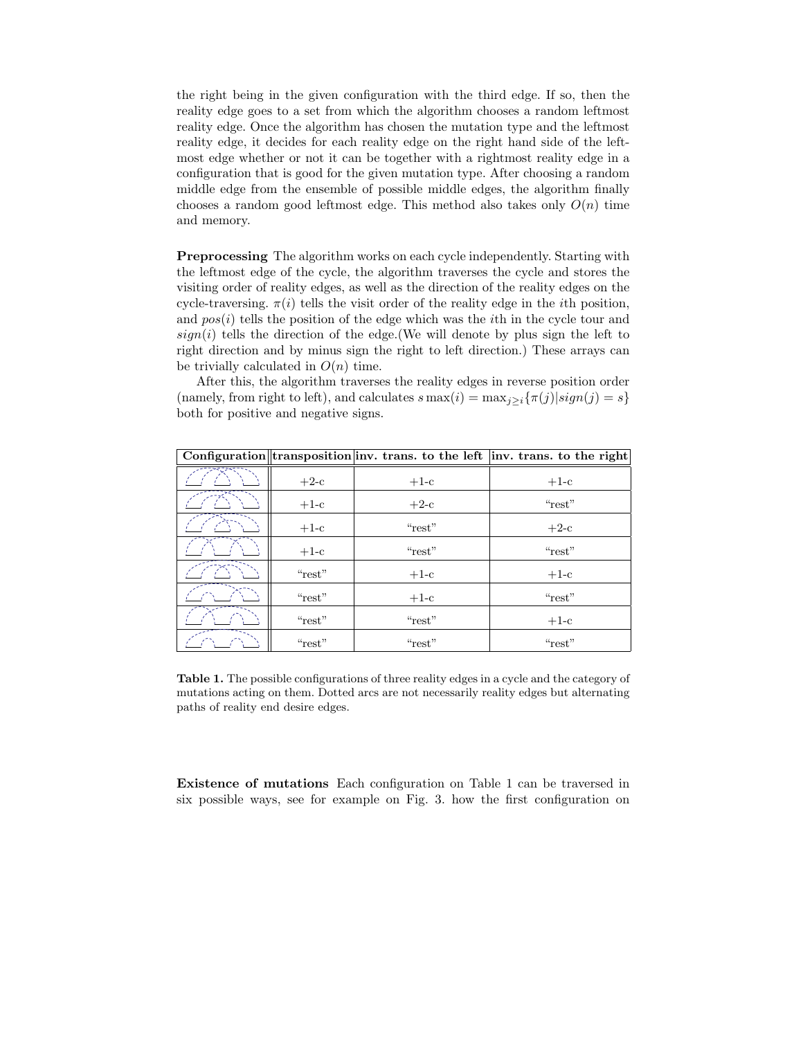the right being in the given configuration with the third edge. If so, then the reality edge goes to a set from which the algorithm chooses a random leftmost reality edge. Once the algorithm has chosen the mutation type and the leftmost reality edge, it decides for each reality edge on the right hand side of the leftmost edge whether or not it can be together with a rightmost reality edge in a configuration that is good for the given mutation type. After choosing a random middle edge from the ensemble of possible middle edges, the algorithm finally chooses a random good leftmost edge. This method also takes only  $O(n)$  time and memory.

Preprocessing The algorithm works on each cycle independently. Starting with the leftmost edge of the cycle, the algorithm traverses the cycle and stores the visiting order of reality edges, as well as the direction of the reality edges on the cycle-traversing.  $\pi(i)$  tells the visit order of the reality edge in the *i*th position, and  $pos(i)$  tells the position of the edge which was the *i*th in the cycle tour and  $sign(i)$  tells the direction of the edge. (We will denote by plus sign the left to right direction and by minus sign the right to left direction.) These arrays can be trivially calculated in  $O(n)$  time.

After this, the algorithm traverses the reality edges in reverse position order (namely, from right to left), and calculates  $s \max(i) = \max_{j \geq i} {\tau(j)|sign(j) = s}$ both for positive and negative signs.

|        |        | Configuration transposition inv. trans. to the left inv. trans. to the right |
|--------|--------|------------------------------------------------------------------------------|
| $+2-c$ | $+1-c$ | $+1-c$                                                                       |
| $+1-c$ | $+2-c$ | "rest"                                                                       |
| $+1-c$ | "rest" | $+2-c$                                                                       |
| $+1-c$ | "rest" | "rest"                                                                       |
| "rest" | $+1-c$ | $+1-c$                                                                       |
| "rest" | $+1-c$ | "rest"                                                                       |
| "rest" | "rest" | $+1-c$                                                                       |
| "rest" | "rest" | "rest"                                                                       |

Table 1. The possible configurations of three reality edges in a cycle and the category of mutations acting on them. Dotted arcs are not necessarily reality edges but alternating paths of reality end desire edges.

Existence of mutations Each configuration on Table 1 can be traversed in six possible ways, see for example on Fig. 3. how the first configuration on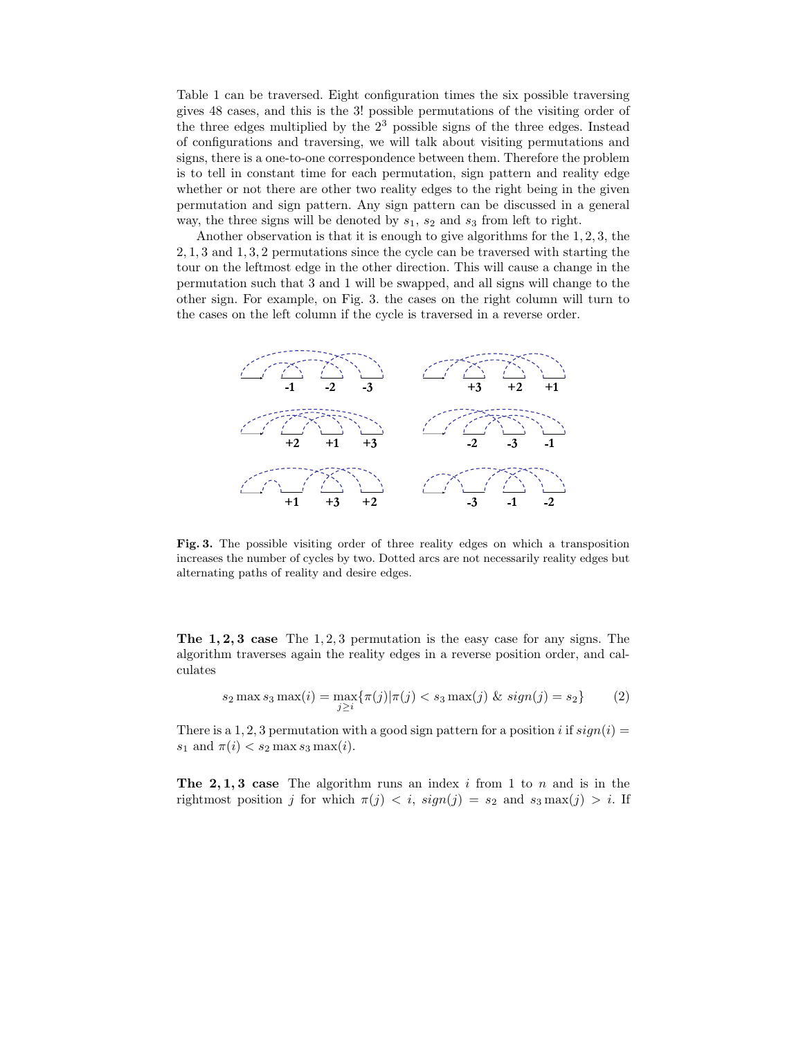Table 1 can be traversed. Eight configuration times the six possible traversing gives 48 cases, and this is the 3! possible permutations of the visiting order of the three edges multiplied by the 2 <sup>3</sup> possible signs of the three edges. Instead of configurations and traversing, we will talk about visiting permutations and signs, there is a one-to-one correspondence between them. Therefore the problem is to tell in constant time for each permutation, sign pattern and reality edge whether or not there are other two reality edges to the right being in the given permutation and sign pattern. Any sign pattern can be discussed in a general way, the three signs will be denoted by  $s_1$ ,  $s_2$  and  $s_3$  from left to right.

Another observation is that it is enough to give algorithms for the 1, 2, 3, the 2, 1, 3 and 1, 3, 2 permutations since the cycle can be traversed with starting the tour on the leftmost edge in the other direction. This will cause a change in the permutation such that 3 and 1 will be swapped, and all signs will change to the other sign. For example, on Fig. 3. the cases on the right column will turn to the cases on the left column if the cycle is traversed in a reverse order.



Fig. 3. The possible visiting order of three reality edges on which a transposition increases the number of cycles by two. Dotted arcs are not necessarily reality edges but alternating paths of reality and desire edges.

The 1, 2, 3 case The 1, 2, 3 permutation is the easy case for any signs. The algorithm traverses again the reality edges in a reverse position order, and calculates

$$
s_2 \max s_3 \max(i) = \max_{j \ge i} \{ \pi(j) | \pi(j) < s_3 \max(j) \, \& \, sign(j) = s_2 \} \tag{2}
$$

There is a 1, 2, 3 permutation with a good sign pattern for a position i if  $sign(i)$  $s_1$  and  $\pi(i) < s_2 \max s_3 \max(i)$ .

The 2, 1, 3 case The algorithm runs an index  $i$  from 1 to  $n$  and is in the rightmost position j for which  $\pi(j) < i$ ,  $sign(j) = s_2$  and  $s_3 \max(j) > i$ . If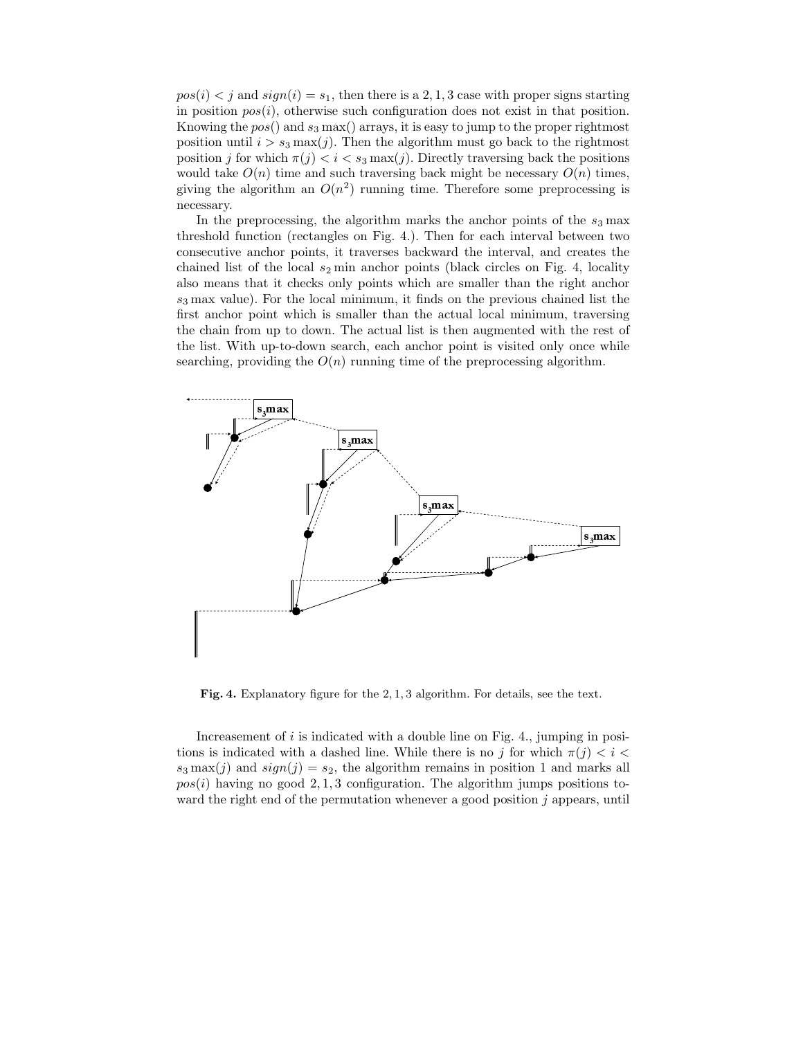$pos(i) < j$  and  $sign(i) = s_1$ , then there is a 2, 1, 3 case with proper signs starting in position  $pos(i)$ , otherwise such configuration does not exist in that position. Knowing the  $pos()$  and  $s_3$  max $()$  arrays, it is easy to jump to the proper rightmost position until  $i > s_3 \max(j)$ . Then the algorithm must go back to the rightmost position j for which  $\pi(j) < i < s_3 \max(j)$ . Directly traversing back the positions would take  $O(n)$  time and such traversing back might be necessary  $O(n)$  times, giving the algorithm an  $O(n^2)$  running time. Therefore some preprocessing is necessary.

In the preprocessing, the algorithm marks the anchor points of the  $s_3$  max threshold function (rectangles on Fig. 4.). Then for each interval between two consecutive anchor points, it traverses backward the interval, and creates the chained list of the local  $s_2$  min anchor points (black circles on Fig. 4, locality also means that it checks only points which are smaller than the right anchor  $s_3$  max value). For the local minimum, it finds on the previous chained list the first anchor point which is smaller than the actual local minimum, traversing the chain from up to down. The actual list is then augmented with the rest of the list. With up-to-down search, each anchor point is visited only once while searching, providing the  $O(n)$  running time of the preprocessing algorithm.



Fig. 4. Explanatory figure for the 2, 1, 3 algorithm. For details, see the text.

Increasement of  $i$  is indicated with a double line on Fig. 4., jumping in positions is indicated with a dashed line. While there is no j for which  $\pi(j) < i <$  $s_3 \max(j)$  and  $sign(j) = s_2$ , the algorithm remains in position 1 and marks all  $pos(i)$  having no good 2, 1, 3 configuration. The algorithm jumps positions toward the right end of the permutation whenever a good position  $j$  appears, until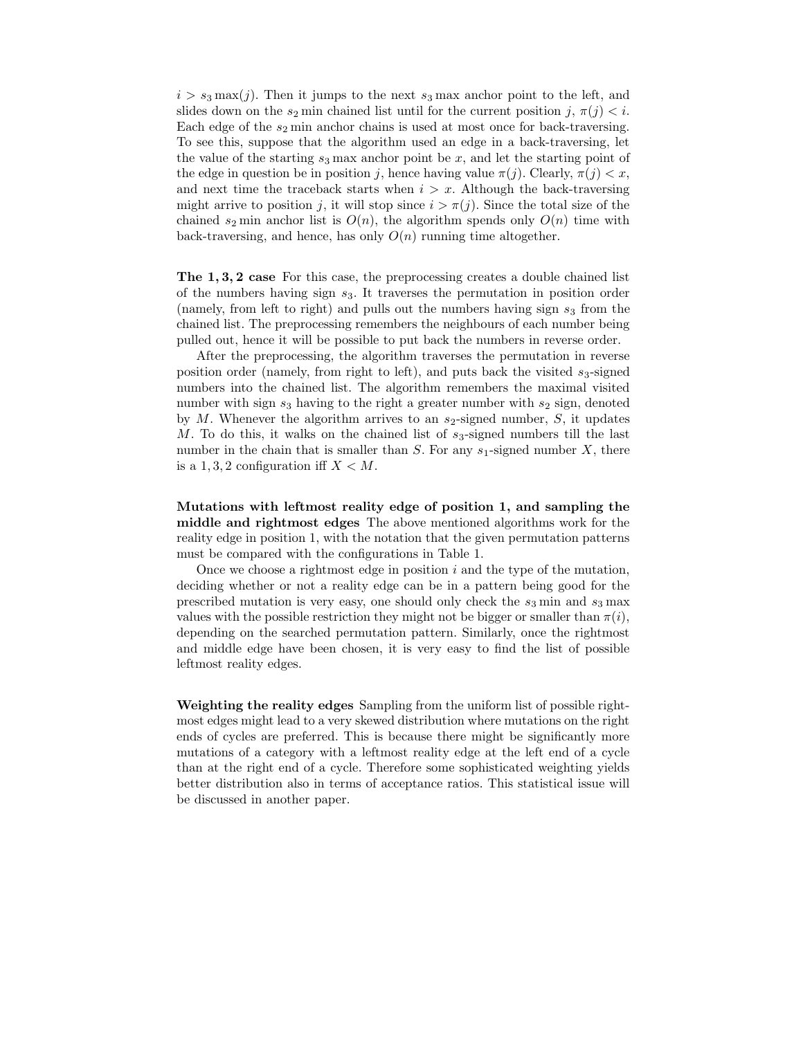$i > s_3$  max $(j)$ . Then it jumps to the next  $s_3$  max anchor point to the left, and slides down on the  $s_2$  min chained list until for the current position j,  $\pi(j) < i$ . Each edge of the  $s_2$  min anchor chains is used at most once for back-traversing. To see this, suppose that the algorithm used an edge in a back-traversing, let the value of the starting  $s_3$  max anchor point be x, and let the starting point of the edge in question be in position j, hence having value  $\pi(j)$ . Clearly,  $\pi(j) < x$ , and next time the traceback starts when  $i > x$ . Although the back-traversing might arrive to position j, it will stop since  $i > \pi(j)$ . Since the total size of the chained  $s_2$  min anchor list is  $O(n)$ , the algorithm spends only  $O(n)$  time with back-traversing, and hence, has only  $O(n)$  running time altogether.

The 1, 3, 2 case For this case, the preprocessing creates a double chained list of the numbers having sign  $s_3$ . It traverses the permutation in position order (namely, from left to right) and pulls out the numbers having sign  $s_3$  from the chained list. The preprocessing remembers the neighbours of each number being pulled out, hence it will be possible to put back the numbers in reverse order.

After the preprocessing, the algorithm traverses the permutation in reverse position order (namely, from right to left), and puts back the visited  $s_3$ -signed numbers into the chained list. The algorithm remembers the maximal visited number with sign  $s_3$  having to the right a greater number with  $s_2$  sign, denoted by M. Whenever the algorithm arrives to an  $s_2$ -signed number, S, it updates M. To do this, it walks on the chained list of  $s_3$ -signed numbers till the last number in the chain that is smaller than  $S$ . For any  $s_1$ -signed number  $X$ , there is a  $1, 3, 2$  configuration iff  $X < M$ .

Mutations with leftmost reality edge of position 1, and sampling the middle and rightmost edges The above mentioned algorithms work for the reality edge in position 1, with the notation that the given permutation patterns must be compared with the configurations in Table 1.

Once we choose a rightmost edge in position  $i$  and the type of the mutation, deciding whether or not a reality edge can be in a pattern being good for the prescribed mutation is very easy, one should only check the  $s_3$  min and  $s_3$  max values with the possible restriction they might not be bigger or smaller than  $\pi(i)$ , depending on the searched permutation pattern. Similarly, once the rightmost and middle edge have been chosen, it is very easy to find the list of possible leftmost reality edges.

Weighting the reality edges Sampling from the uniform list of possible rightmost edges might lead to a very skewed distribution where mutations on the right ends of cycles are preferred. This is because there might be significantly more mutations of a category with a leftmost reality edge at the left end of a cycle than at the right end of a cycle. Therefore some sophisticated weighting yields better distribution also in terms of acceptance ratios. This statistical issue will be discussed in another paper.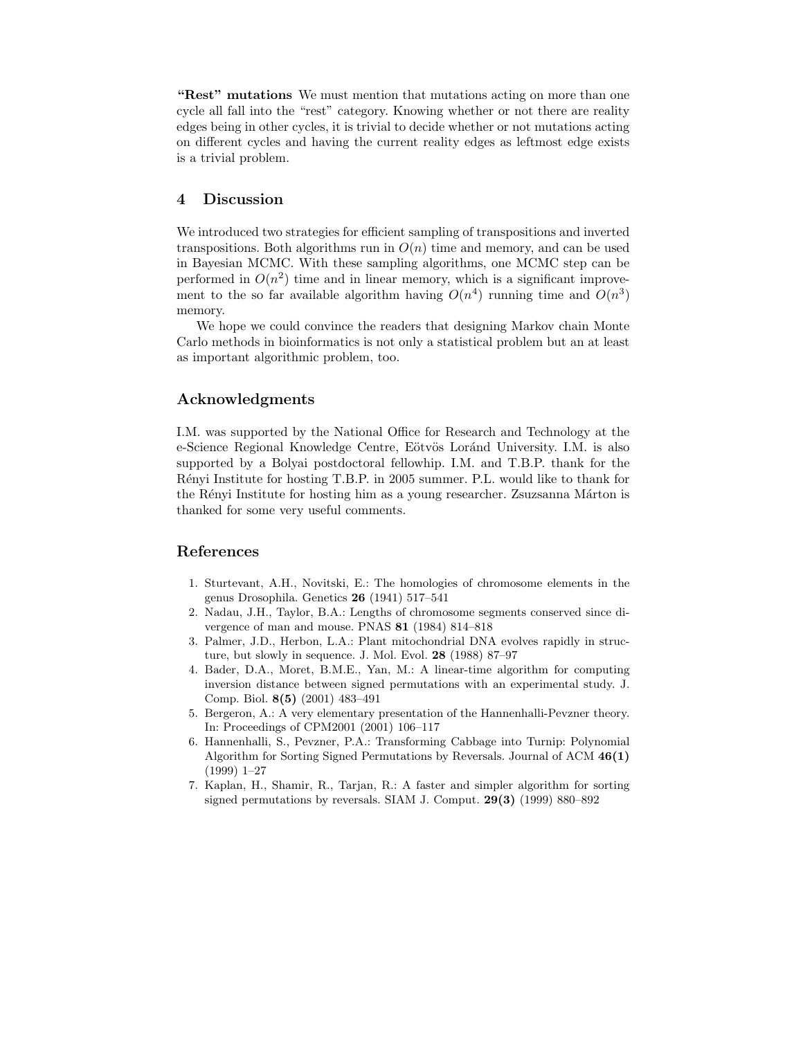"Rest" mutations We must mention that mutations acting on more than one cycle all fall into the "rest" category. Knowing whether or not there are reality edges being in other cycles, it is trivial to decide whether or not mutations acting on different cycles and having the current reality edges as leftmost edge exists is a trivial problem.

#### 4 Discussion

We introduced two strategies for efficient sampling of transpositions and inverted transpositions. Both algorithms run in  $O(n)$  time and memory, and can be used in Bayesian MCMC. With these sampling algorithms, one MCMC step can be performed in  $O(n^2)$  time and in linear memory, which is a significant improvement to the so far available algorithm having  $O(n^4)$  running time and  $O(n^3)$ memory.

We hope we could convince the readers that designing Markov chain Monte Carlo methods in bioinformatics is not only a statistical problem but an at least as important algorithmic problem, too.

## Acknowledgments

I.M. was supported by the National Office for Research and Technology at the e-Science Regional Knowledge Centre, Eötvös Loránd University. I.M. is also supported by a Bolyai postdoctoral fellowhip. I.M. and T.B.P. thank for the Rényi Institute for hosting T.B.P. in 2005 summer. P.L. would like to thank for the Rényi Institute for hosting him as a young researcher. Zsuzsanna Márton is thanked for some very useful comments.

## References

- 1. Sturtevant, A.H., Novitski, E.: The homologies of chromosome elements in the genus Drosophila. Genetics 26 (1941) 517–541
- 2. Nadau, J.H., Taylor, B.A.: Lengths of chromosome segments conserved since divergence of man and mouse. PNAS 81 (1984) 814–818
- 3. Palmer, J.D., Herbon, L.A.: Plant mitochondrial DNA evolves rapidly in structure, but slowly in sequence. J. Mol. Evol. 28 (1988) 87-97
- 4. Bader, D.A., Moret, B.M.E., Yan, M.: A linear-time algorithm for computing inversion distance between signed permutations with an experimental study. J. Comp. Biol. 8(5) (2001) 483–491
- 5. Bergeron, A.: A very elementary presentation of the Hannenhalli-Pevzner theory. In: Proceedings of CPM2001 (2001) 106–117
- 6. Hannenhalli, S., Pevzner, P.A.: Transforming Cabbage into Turnip: Polynomial Algorithm for Sorting Signed Permutations by Reversals. Journal of ACM 46(1) (1999) 1–27
- 7. Kaplan, H., Shamir, R., Tarjan, R.: A faster and simpler algorithm for sorting signed permutations by reversals. SIAM J. Comput. 29(3) (1999) 880–892